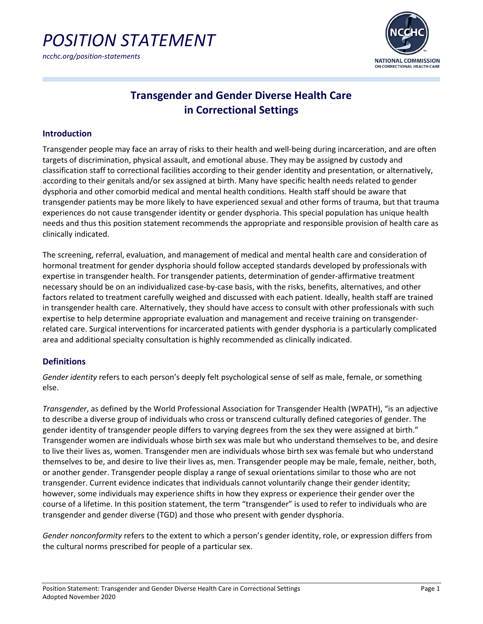*ncchc.org/position-statements*



### **Transgender and Gender Diverse Health Care in Correctional Settings**

#### **Introduction**

Transgender people may face an array of risks to their health and well-being during incarceration, and are often targets of discrimination, physical assault, and emotional abuse. They may be assigned by custody and classification staff to correctional facilities according to their gender identity and presentation, or alternatively, according to their genitals and/or sex assigned at birth. Many have specific health needs related to gender dysphoria and other comorbid medical and mental health conditions. Health staff should be aware that transgender patients may be more likely to have experienced sexual and other forms of trauma, but that trauma experiences do not cause transgender identity or gender dysphoria. This special population has unique health needs and thus this position statement recommends the appropriate and responsible provision of health care as clinically indicated.

The screening, referral, evaluation, and management of medical and mental health care and consideration of hormonal treatment for gender dysphoria should follow accepted standards developed by professionals with expertise in transgender health. For transgender patients, determination of gender-affirmative treatment necessary should be on an individualized case-by-case basis, with the risks, benefits, alternatives, and other factors related to treatment carefully weighed and discussed with each patient. Ideally, health staff are trained in transgender health care. Alternatively, they should have access to consult with other professionals with such expertise to help determine appropriate evaluation and management and receive training on transgenderrelated care. Surgical interventions for incarcerated patients with gender dysphoria is a particularly complicated area and additional specialty consultation is highly recommended as clinically indicated.

### **Definitions**

*Gender identity* refers to each person's deeply felt psychological sense of self as male, female, or something else.

*Transgender*, as defined by the World Professional Association for Transgender Health (WPATH), "is an adjective to describe a diverse group of individuals who cross or transcend culturally defined categories of gender. The gender identity of transgender people differs to varying degrees from the sex they were assigned at birth." Transgender women are individuals whose birth sex was male but who understand themselves to be, and desire to live their lives as, women. Transgender men are individuals whose birth sex was female but who understand themselves to be, and desire to live their lives as, men. Transgender people may be male, female, neither, both, or another gender. Transgender people display a range of sexual orientations similar to those who are not transgender. Current evidence indicates that individuals cannot voluntarily change their gender identity; however, some individuals may experience shifts in how they express or experience their gender over the course of a lifetime. In this position statement, the term "transgender" is used to refer to individuals who are transgender and gender diverse (TGD) and those who present with gender dysphoria.

*Gender nonconformity* refers to the extent to which a person's gender identity, role, or expression differs from the cultural norms prescribed for people of a particular sex.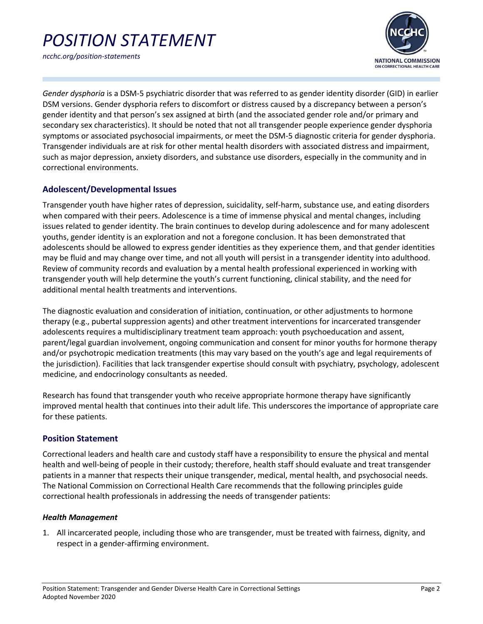

*ncchc.org/position-statements*

*Gender dysphoria* is a DSM-5 psychiatric disorder that was referred to as gender identity disorder (GID) in earlier DSM versions. Gender dysphoria refers to discomfort or distress caused by a discrepancy between a person's gender identity and that person's sex assigned at birth (and the associated gender role and/or primary and secondary sex characteristics). It should be noted that not all transgender people experience gender dysphoria symptoms or associated psychosocial impairments, or meet the DSM-5 diagnostic criteria for gender dysphoria. Transgender individuals are at risk for other mental health disorders with associated distress and impairment, such as major depression, anxiety disorders, and substance use disorders, especially in the community and in correctional environments.

### **Adolescent/Developmental Issues**

Transgender youth have higher rates of depression, suicidality, self-harm, substance use, and eating disorders when compared with their peers. Adolescence is a time of immense physical and mental changes, including issues related to gender identity. The brain continues to develop during adolescence and for many adolescent youths, gender identity is an exploration and not a foregone conclusion. It has been demonstrated that adolescents should be allowed to express gender identities as they experience them, and that gender identities may be fluid and may change over time, and not all youth will persist in a transgender identity into adulthood. Review of community records and evaluation by a mental health professional experienced in working with transgender youth will help determine the youth's current functioning, clinical stability, and the need for additional mental health treatments and interventions.

The diagnostic evaluation and consideration of initiation, continuation, or other adjustments to hormone therapy (e.g., pubertal suppression agents) and other treatment interventions for incarcerated transgender adolescents requires a multidisciplinary treatment team approach: youth psychoeducation and assent, parent/legal guardian involvement, ongoing communication and consent for minor youths for hormone therapy and/or psychotropic medication treatments (this may vary based on the youth's age and legal requirements of the jurisdiction). Facilities that lack transgender expertise should consult with psychiatry, psychology, adolescent medicine, and endocrinology consultants as needed.

Research has found that transgender youth who receive appropriate hormone therapy have significantly improved mental health that continues into their adult life. This underscores the importance of appropriate care for these patients.

### **Position Statement**

Correctional leaders and health care and custody staff have a responsibility to ensure the physical and mental health and well-being of people in their custody; therefore, health staff should evaluate and treat transgender patients in a manner that respects their unique transgender, medical, mental health, and psychosocial needs. The National Commission on Correctional Health Care recommends that the following principles guide correctional health professionals in addressing the needs of transgender patients:

### *Health Management*

1. All incarcerated people, including those who are transgender, must be treated with fairness, dignity, and respect in a gender-affirming environment.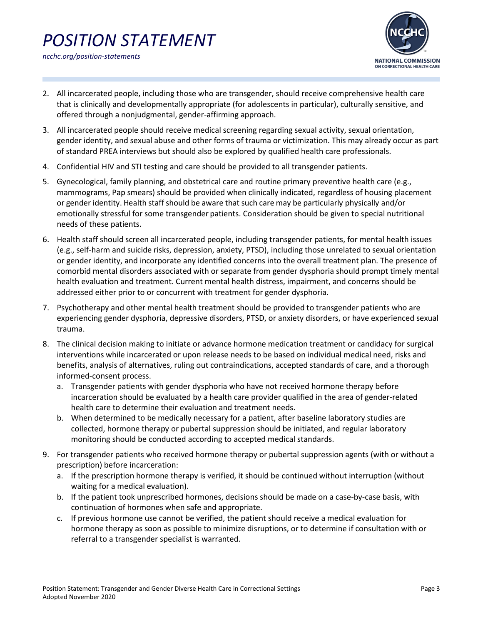*ncchc.org/position-statements*



- 2. All incarcerated people, including those who are transgender, should receive comprehensive health care that is clinically and developmentally appropriate (for adolescents in particular), culturally sensitive, and offered through a nonjudgmental, gender-affirming approach.
- 3. All incarcerated people should receive medical screening regarding sexual activity, sexual orientation, gender identity, and sexual abuse and other forms of trauma or victimization. This may already occur as part of standard PREA interviews but should also be explored by qualified health care professionals.
- 4. Confidential HIV and STI testing and care should be provided to all transgender patients.
- 5. Gynecological, family planning, and obstetrical care and routine primary preventive health care (e.g., mammograms, Pap smears) should be provided when clinically indicated, regardless of housing placement or gender identity. Health staff should be aware that such care may be particularly physically and/or emotionally stressful for some transgender patients. Consideration should be given to special nutritional needs of these patients.
- 6. Health staff should screen all incarcerated people, including transgender patients, for mental health issues (e.g., self-harm and suicide risks, depression, anxiety, PTSD), including those unrelated to sexual orientation or gender identity, and incorporate any identified concerns into the overall treatment plan. The presence of comorbid mental disorders associated with or separate from gender dysphoria should prompt timely mental health evaluation and treatment. Current mental health distress, impairment, and concerns should be addressed either prior to or concurrent with treatment for gender dysphoria.
- 7. Psychotherapy and other mental health treatment should be provided to transgender patients who are experiencing gender dysphoria, depressive disorders, PTSD, or anxiety disorders, or have experienced sexual trauma.
- 8. The clinical decision making to initiate or advance hormone medication treatment or candidacy for surgical interventions while incarcerated or upon release needs to be based on individual medical need, risks and benefits, analysis of alternatives, ruling out contraindications, accepted standards of care, and a thorough informed-consent process.
	- a. Transgender patients with gender dysphoria who have not received hormone therapy before incarceration should be evaluated by a health care provider qualified in the area of gender-related health care to determine their evaluation and treatment needs.
	- b. When determined to be medically necessary for a patient, after baseline laboratory studies are collected, hormone therapy or pubertal suppression should be initiated, and regular laboratory monitoring should be conducted according to accepted medical standards.
- 9. For transgender patients who received hormone therapy or pubertal suppression agents (with or without a prescription) before incarceration:
	- a. If the prescription hormone therapy is verified, it should be continued without interruption (without waiting for a medical evaluation).
	- b. If the patient took unprescribed hormones, decisions should be made on a case-by-case basis, with continuation of hormones when safe and appropriate.
	- c. If previous hormone use cannot be verified, the patient should receive a medical evaluation for hormone therapy as soon as possible to minimize disruptions, or to determine if consultation with or referral to a transgender specialist is warranted.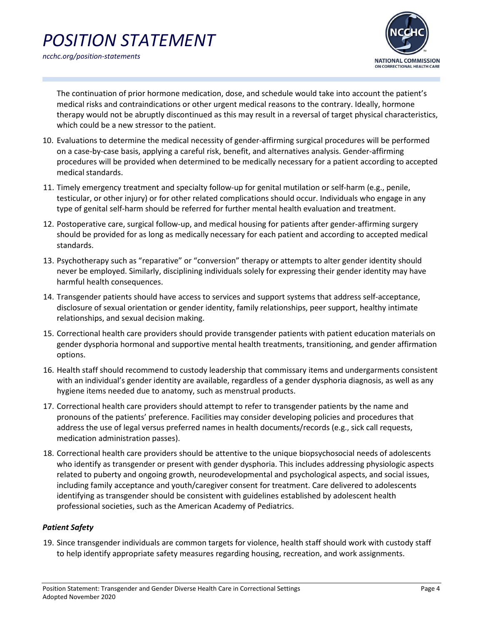

The continuation of prior hormone medication, dose, and schedule would take into account the patient's medical risks and contraindications or other urgent medical reasons to the contrary. Ideally, hormone therapy would not be abruptly discontinued as this may result in a reversal of target physical characteristics, which could be a new stressor to the patient.

- 10. Evaluations to determine the medical necessity of gender-affirming surgical procedures will be performed on a case-by-case basis, applying a careful risk, benefit, and alternatives analysis. Gender-affirming procedures will be provided when determined to be medically necessary for a patient according to accepted medical standards.
- 11. Timely emergency treatment and specialty follow-up for genital mutilation or self-harm (e.g., penile, testicular, or other injury) or for other related complications should occur. Individuals who engage in any type of genital self-harm should be referred for further mental health evaluation and treatment.
- 12. Postoperative care, surgical follow-up, and medical housing for patients after gender-affirming surgery should be provided for as long as medically necessary for each patient and according to accepted medical standards.
- 13. Psychotherapy such as "reparative" or "conversion" therapy or attempts to alter gender identity should never be employed. Similarly, disciplining individuals solely for expressing their gender identity may have harmful health consequences.
- 14. Transgender patients should have access to services and support systems that address self-acceptance, disclosure of sexual orientation or gender identity, family relationships, peer support, healthy intimate relationships, and sexual decision making.
- 15. Correctional health care providers should provide transgender patients with patient education materials on gender dysphoria hormonal and supportive mental health treatments, transitioning, and gender affirmation options.
- 16. Health staff should recommend to custody leadership that commissary items and undergarments consistent with an individual's gender identity are available, regardless of a gender dysphoria diagnosis, as well as any hygiene items needed due to anatomy, such as menstrual products.
- 17. Correctional health care providers should attempt to refer to transgender patients by the name and pronouns of the patients' preference. Facilities may consider developing policies and procedures that address the use of legal versus preferred names in health documents/records (e.g., sick call requests, medication administration passes).
- 18. Correctional health care providers should be attentive to the unique biopsychosocial needs of adolescents who identify as transgender or present with gender dysphoria. This includes addressing physiologic aspects related to puberty and ongoing growth, neurodevelopmental and psychological aspects, and social issues, including family acceptance and youth/caregiver consent for treatment. Care delivered to adolescents identifying as transgender should be consistent with guidelines established by adolescent health professional societies, such as the American Academy of Pediatrics.

### *Patient Safety*

19. Since transgender individuals are common targets for violence, health staff should work with custody staff to help identify appropriate safety measures regarding housing, recreation, and work assignments.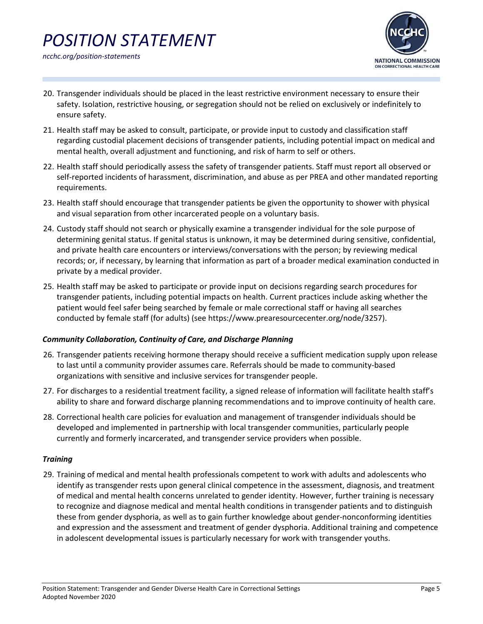

- 20. Transgender individuals should be placed in the least restrictive environment necessary to ensure their safety. Isolation, restrictive housing, or segregation should not be relied on exclusively or indefinitely to ensure safety.
- 21. Health staff may be asked to consult, participate, or provide input to custody and classification staff regarding custodial placement decisions of transgender patients, including potential impact on medical and mental health, overall adjustment and functioning, and risk of harm to self or others.
- 22. Health staff should periodically assess the safety of transgender patients. Staff must report all observed or self-reported incidents of harassment, discrimination, and abuse as per PREA and other mandated reporting requirements.
- 23. Health staff should encourage that transgender patients be given the opportunity to shower with physical and visual separation from other incarcerated people on a voluntary basis.
- 24. Custody staff should not search or physically examine a transgender individual for the sole purpose of determining genital status. If genital status is unknown, it may be determined during sensitive, confidential, and private health care encounters or interviews/conversations with the person; by reviewing medical records; or, if necessary, by learning that information as part of a broader medical examination conducted in private by a medical provider.
- 25. Health staff may be asked to participate or provide input on decisions regarding search procedures for transgender patients, including potential impacts on health. Current practices include asking whether the patient would feel safer being searched by female or male correctional staff or having all searches conducted by female staff (for adults) (see [https://www.prearesourcecenter.org/node/3257\)](https://www.prearesourcecenter.org/node/3257).

### *Community Collaboration, Continuity of Care, and Discharge Planning*

- 26. Transgender patients receiving hormone therapy should receive a sufficient medication supply upon release to last until a community provider assumes care. Referrals should be made to community-based organizations with sensitive and inclusive services for transgender people.
- 27. For discharges to a residential treatment facility, a signed release of information will facilitate health staff's ability to share and forward discharge planning recommendations and to improve continuity of health care.
- 28. Correctional health care policies for evaluation and management of transgender individuals should be developed and implemented in partnership with local transgender communities, particularly people currently and formerly incarcerated, and transgender service providers when possible.

### *Training*

29. Training of medical and mental health professionals competent to work with adults and adolescents who identify as transgender rests upon general clinical competence in the assessment, diagnosis, and treatment of medical and mental health concerns unrelated to gender identity. However, further training is necessary to recognize and diagnose medical and mental health conditions in transgender patients and to distinguish these from gender dysphoria, as well as to gain further knowledge about gender-nonconforming identities and expression and the assessment and treatment of gender dysphoria. Additional training and competence in adolescent developmental issues is particularly necessary for work with transgender youths.